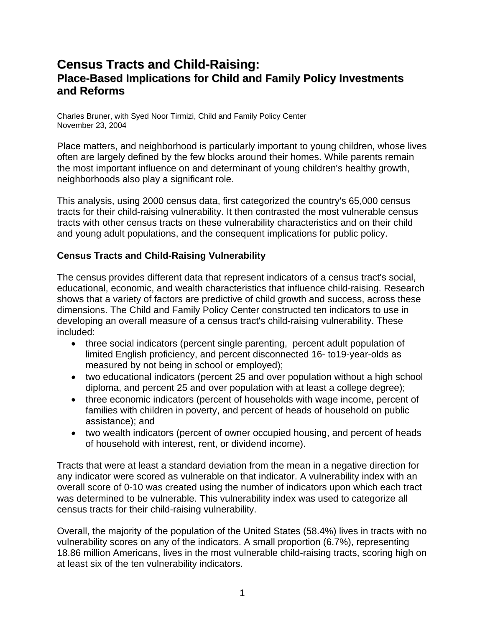# **Census Tracts and Child-Raising: Place-Based Implications for Child and Family Policy Investments and Reforms**

Charles Bruner, with Syed Noor Tirmizi, Child and Family Policy Center November 23, 2004

Place matters, and neighborhood is particularly important to young children, whose lives often are largely defined by the few blocks around their homes. While parents remain the most important influence on and determinant of young children's healthy growth, neighborhoods also play a significant role.

This analysis, using 2000 census data, first categorized the country's 65,000 census tracts for their child-raising vulnerability. It then contrasted the most vulnerable census tracts with other census tracts on these vulnerability characteristics and on their child and young adult populations, and the consequent implications for public policy.

## **Census Tracts and Child-Raising Vulnerability**

The census provides different data that represent indicators of a census tract's social, educational, economic, and wealth characteristics that influence child-raising. Research shows that a variety of factors are predictive of child growth and success, across these dimensions. The Child and Family Policy Center constructed ten indicators to use in developing an overall measure of a census tract's child-raising vulnerability. These included:

- three social indicators (percent single parenting, percent adult population of limited English proficiency, and percent disconnected 16- to19-year-olds as measured by not being in school or employed);
- two educational indicators (percent 25 and over population without a high school diploma, and percent 25 and over population with at least a college degree);
- three economic indicators (percent of households with wage income, percent of families with children in poverty, and percent of heads of household on public assistance); and
- two wealth indicators (percent of owner occupied housing, and percent of heads of household with interest, rent, or dividend income).

Tracts that were at least a standard deviation from the mean in a negative direction for any indicator were scored as vulnerable on that indicator. A vulnerability index with an overall score of 0-10 was created using the number of indicators upon which each tract was determined to be vulnerable. This vulnerability index was used to categorize all census tracts for their child-raising vulnerability.

Overall, the majority of the population of the United States (58.4%) lives in tracts with no vulnerability scores on any of the indicators. A small proportion (6.7%), representing 18.86 million Americans, lives in the most vulnerable child-raising tracts, scoring high on at least six of the ten vulnerability indicators.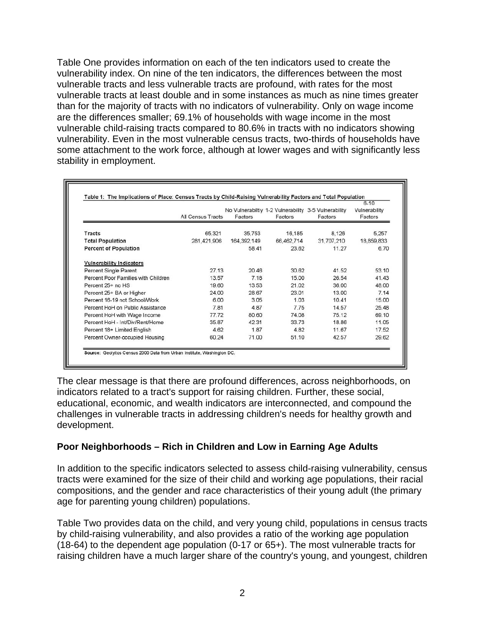Table One provides information on each of the ten indicators used to create the vulnerability index. On nine of the ten indicators, the differences between the most vulnerable tracts and less vulnerable tracts are profound, with rates for the most vulnerable tracts at least double and in some instances as much as nine times greater than for the majority of tracts with no indicators of vulnerability. Only on wage income are the differences smaller; 69.1% of households with wage income in the most vulnerable child-raising tracts compared to 80.6% in tracts with no indicators showing vulnerability. Even in the most vulnerable census tracts, two-thirds of households have some attachment to the work force, although at lower wages and with significantly less stability in employment.

|                                     | <b>All Census Tracts</b> | Factors     | Factors    | No Vulnerabiltiy 1-2 Vulnerability 3-5 Vulnerability<br>Factors | $6 - 10$<br>Vulnerability<br>Factors |
|-------------------------------------|--------------------------|-------------|------------|-----------------------------------------------------------------|--------------------------------------|
| Tracts                              | 65,321                   | 35.753      | 16,185     | 8.126                                                           | 5,257                                |
| <b>Total Population</b>             | 281,421,906              | 164.392,149 | 66,462,714 | 31,707,210                                                      | 18,859,833                           |
| <b>Percent of Population</b>        |                          | 58.41       | 23.62      | 11.27                                                           | 6.70                                 |
| <b>Vulnerability Indicators</b>     |                          |             |            |                                                                 |                                      |
| Percent Single Parent               | 27.13                    | 20.46       | 30.62      | 41.52                                                           | 53.10                                |
| Percent Poor Families with Children | 13.57                    | 7.18        | 15.00      | 26.54                                                           | 41.43                                |
| Percent 25+ no HS                   | 19.60                    | 13.53       | 21.02      | 36.00                                                           | 48.00                                |
| Percent 25+ BA or Higher            | 24.00                    | 28.67       | 23.01      | 13.00                                                           | 7.14                                 |
| Percent 16-19 not School/Work       | 6.00                     | 3.05        | 1.03       | 10.41                                                           | 15.00                                |
| Percent HoH on Public Assistance    | 7.81                     | 4.87        | 7.75       | 14.57                                                           | 25.48                                |
| Percent HoH with Wage Income        | 77.72                    | 80.60       | 74.08      | 75.12                                                           | 69.10                                |
| Percent HoH - Int/Div/Rent/Home     | 35.87                    | 42.31       | 33.73      | 18.86                                                           | 11.05                                |
| Percent 18+ Limited English         | 4.62                     | 1.87        | 4.82       | 11.67                                                           | 17.52                                |
| Percent Owner-occupied Housing      | 60.24                    | 71.00       | 51.10      | 42.57                                                           | 29.62                                |

The clear message is that there are profound differences, across neighborhoods, on indicators related to a tract's support for raising children. Further, these social, educational, economic, and wealth indicators are interconnected, and compound the challenges in vulnerable tracts in addressing children's needs for healthy growth and development.

#### **Poor Neighborhoods – Rich in Children and Low in Earning Age Adults**

In addition to the specific indicators selected to assess child-raising vulnerability, census tracts were examined for the size of their child and working age populations, their racial compositions, and the gender and race characteristics of their young adult (the primary age for parenting young children) populations.

Table Two provides data on the child, and very young child, populations in census tracts by child-raising vulnerability, and also provides a ratio of the working age population (18-64) to the dependent age population (0-17 or 65+). The most vulnerable tracts for raising children have a much larger share of the country's young, and youngest, children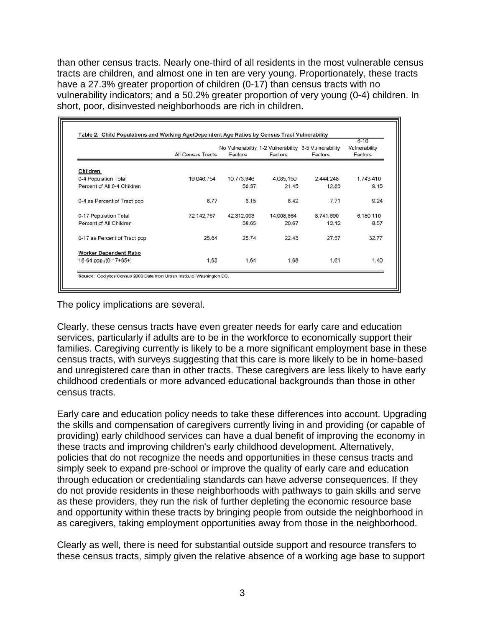than other census tracts. Nearly one-third of all residents in the most vulnerable census tracts are children, and almost one in ten are very young. Proportionately, these tracts have a 27.3% greater proportion of children (0-17) than census tracts with no vulnerability indicators; and a 50.2% greater proportion of very young (0-4) children. In short, poor, disinvested neighborhoods are rich in children.

|                               | All Census Tracts | Factors    | Factors    | No Vulnerabiltiy 1-2 Vulnerability 3-5 Vulnerability<br>Factors | $6 - 10$<br>Vulnerability<br>Factors |
|-------------------------------|-------------------|------------|------------|-----------------------------------------------------------------|--------------------------------------|
| Children                      |                   |            |            |                                                                 |                                      |
| 0-4 Population Total          | 19,046,754        | 10,773,946 | 4,085,150  | 2,444,248                                                       | 1,743,410                            |
| Percent of All 0-4 Children   |                   | 56.57      | 21.45      | 12.83                                                           | 9.15                                 |
| 0-4 as Percent of Tract pop   | 6.77              | 6.15       | 6.42       | 7.71                                                            | 9.24                                 |
| 0-17 Population Total         | 72,142,757        | 42.312.093 | 14,908,864 | 8,741,690                                                       | 6,180,110                            |
| Percent of All Children       |                   | 58.65      | 20.67      | 12.12                                                           | 8.57                                 |
| 0-17 as Percent of Tract pop  | 25.64             | 25.74      | 22.43      | 27.57                                                           | 32.77                                |
| <b>Worker Dependent Ratio</b> |                   |            |            |                                                                 |                                      |
| 18-64 pop./(0-17+65+)         | 1.63              | 1.64       | 1.68       | 1.61                                                            | 1.40                                 |

The policy implications are several.

Clearly, these census tracts have even greater needs for early care and education services, particularly if adults are to be in the workforce to economically support their families. Caregiving currently is likely to be a more significant employment base in these census tracts, with surveys suggesting that this care is more likely to be in home-based and unregistered care than in other tracts. These caregivers are less likely to have early childhood credentials or more advanced educational backgrounds than those in other census tracts.

Early care and education policy needs to take these differences into account. Upgrading the skills and compensation of caregivers currently living in and providing (or capable of providing) early childhood services can have a dual benefit of improving the economy in these tracts and improving children's early childhood development. Alternatively, policies that do not recognize the needs and opportunities in these census tracts and simply seek to expand pre-school or improve the quality of early care and education through education or credentialing standards can have adverse consequences. If they do not provide residents in these neighborhoods with pathways to gain skills and serve as these providers, they run the risk of further depleting the economic resource base and opportunity within these tracts by bringing people from outside the neighborhood in as caregivers, taking employment opportunities away from those in the neighborhood.

Clearly as well, there is need for substantial outside support and resource transfers to these census tracts, simply given the relative absence of a working age base to support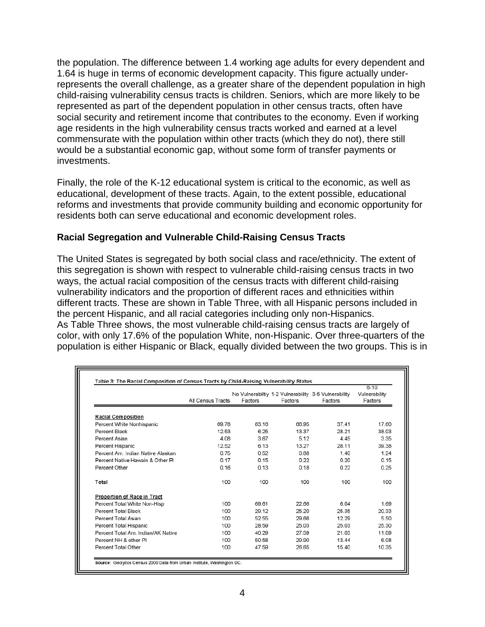the population. The difference between 1.4 working age adults for every dependent and 1.64 is huge in terms of economic development capacity. This figure actually underrepresents the overall challenge, as a greater share of the dependent population in high child-raising vulnerability census tracts is children. Seniors, which are more likely to be represented as part of the dependent population in other census tracts, often have social security and retirement income that contributes to the economy. Even if working age residents in the high vulnerability census tracts worked and earned at a level commensurate with the population within other tracts (which they do not), there still would be a substantial economic gap, without some form of transfer payments or investments.

Finally, the role of the K-12 educational system is critical to the economic, as well as educational, development of these tracts. Again, to the extent possible, educational reforms and investments that provide community building and economic opportunity for residents both can serve educational and economic development roles.

#### **Racial Segregation and Vulnerable Child-Raising Census Tracts**

The United States is segregated by both social class and race/ethnicity. The extent of this segregation is shown with respect to vulnerable child-raising census tracts in two ways, the actual racial composition of the census tracts with different child-raising vulnerability indicators and the proportion of different races and ethnicities within different tracts. These are shown in Table Three, with all Hispanic persons included in the percent Hispanic, and all racial categories including only non-Hispanics. As Table Three shows, the most vulnerable child-raising census tracts are largely of color, with only 17.6% of the population White, non-Hispanic. Over three-quarters of the population is either Hispanic or Black, equally divided between the two groups. This is in

|                                   | All Census Tracts | Factors | No Vulnerabiltiy 1-2 Vulnerability 3-5 Vulnerability<br>Factors | Factors | $6 - 10$<br>Vulnerability<br>Factors |
|-----------------------------------|-------------------|---------|-----------------------------------------------------------------|---------|--------------------------------------|
| <b>Racial Composition</b>         |                   |         |                                                                 |         |                                      |
| Percent White Nonhispanic         | 6978              | 83 16   | 6695                                                            | 37 41   | 17.60                                |
| Percent Black                     | 12.53             | 6.25    | 13.37                                                           | 28.21   | 38.03                                |
| Percent Asian                     | 4.08              | 3.67    | 5.12                                                            | 4.45    | 3.35                                 |
| Percent Hispanic                  | 12.52             | 6.13    | 13.27                                                           | 28 11   | 39.38                                |
| Percent Am, Indian Native Alaskan | 0.75              | 0.52    | 0.88                                                            | 1.40    | 1.24                                 |
| Percent Native Hawain & Other PI  | 0.17              | 0.15    | 0.22                                                            | 0.20    | 0.15                                 |
| Percent Other                     | 0.16              | 0.13    | 0.18                                                            | 0.22    | 0.25                                 |
| Total                             | 100               | 100     | 100                                                             | 100     | 100                                  |
| Proportion of Race in Tract       |                   |         |                                                                 |         |                                      |
| Percent Total White Non-Hisp      | 100               | 69.61   | 22.66                                                           | 6.04    | 1.69                                 |
| Percent Total Black               | 100               | 29.12   | 25.20                                                           | 25.35   | 20.33                                |
| Percent Total Asian               | 100               | 52.55   | 29.66                                                           | 12.29   | 5.50                                 |
| Percent Total Hispanic            | 100               | 28.59   | 25.03                                                           | 25.03   | 25.30                                |
| Percent Total Am Indian/AK Native | 100               | 40.29   | 27.59                                                           | 21.03   | 11.09                                |
| Percent NH & other PI             | 100               | 50.58   | 29.90                                                           | 13.44   | 6.08                                 |
| Percent Total Other               | 100               | 47.59   | 26.65                                                           | 15.40   | 10.35                                |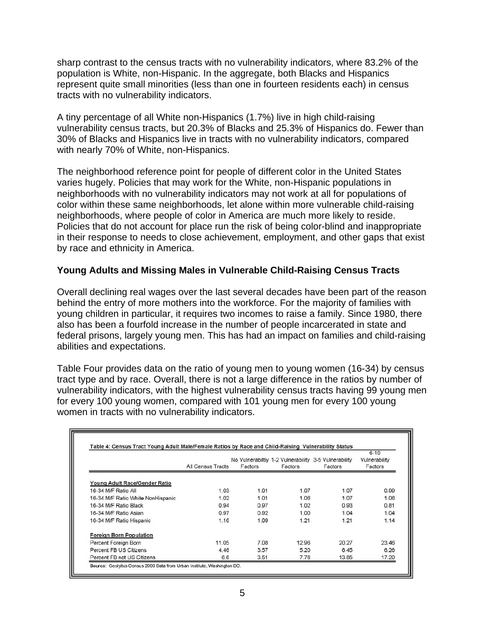sharp contrast to the census tracts with no vulnerability indicators, where 83.2% of the population is White, non-Hispanic. In the aggregate, both Blacks and Hispanics represent quite small minorities (less than one in fourteen residents each) in census tracts with no vulnerability indicators.

A tiny percentage of all White non-Hispanics (1.7%) live in high child-raising vulnerability census tracts, but 20.3% of Blacks and 25.3% of Hispanics do. Fewer than 30% of Blacks and Hispanics live in tracts with no vulnerability indicators, compared with nearly 70% of White, non-Hispanics.

The neighborhood reference point for people of different color in the United States varies hugely. Policies that may work for the White, non-Hispanic populations in neighborhoods with no vulnerability indicators may not work at all for populations of color within these same neighborhoods, let alone within more vulnerable child-raising neighborhoods, where people of color in America are much more likely to reside. Policies that do not account for place run the risk of being color-blind and inappropriate in their response to needs to close achievement, employment, and other gaps that exist by race and ethnicity in America.

### **Young Adults and Missing Males in Vulnerable Child-Raising Census Tracts**

Overall declining real wages over the last several decades have been part of the reason behind the entry of more mothers into the workforce. For the majority of families with young children in particular, it requires two incomes to raise a family. Since 1980, there also has been a fourfold increase in the number of people incarcerated in state and federal prisons, largely young men. This has had an impact on families and child-raising abilities and expectations.

Table Four provides data on the ratio of young men to young women (16-34) by census tract type and by race. Overall, there is not a large difference in the ratios by number of vulnerability indicators, with the highest vulnerability census tracts having 99 young men for every 100 young women, compared with 101 young men for every 100 young women in tracts with no vulnerability indicators.

|                                   | All Census Tracts | Factors | Factors | No Vulnerabiltiy 1-2 Vulnerability 3-5 Vulnerability<br>Factors | $6 - 10$<br>Vulnerability<br>Factors |
|-----------------------------------|-------------------|---------|---------|-----------------------------------------------------------------|--------------------------------------|
| Young Adult Race/Gender Ratio     |                   |         |         |                                                                 |                                      |
| 16-34 M/F Ratio All               | 1.03              | 1.01    | 1.07    | 1.07                                                            | 0.99                                 |
| 16-34 M/F Ratio White NonHispanic | 1.02              | 1.01    | 1.06    | 1.07                                                            | 1.06                                 |
| 16-34 M/F Ratio Black             | 0.94              | 0.97    | 1.02    | 0.93                                                            | 0.81                                 |
| 16-34 M/F Ratio Asian             | 0.97              | 0.92    | 1.00    | 1.04                                                            | 1.04                                 |
| 16-34 M/F Ratio Hispanic          | 1.16              | 1.09    | 1.21    | 1.21                                                            | 1.14                                 |
| <b>Foreign Born Population</b>    |                   |         |         |                                                                 |                                      |
| Percent Foreign Born              | 11.05             | 7.08    | 12.96   | 20.27                                                           | 23.46                                |
| Percent FB US Citizens            | 4.46              | 3.57    | 5.20    | 6.45                                                            | 6.26                                 |
| Percent FB not US Citizens        | 6.6               | 3.51    | 7.76    | 13.85                                                           | 17.20                                |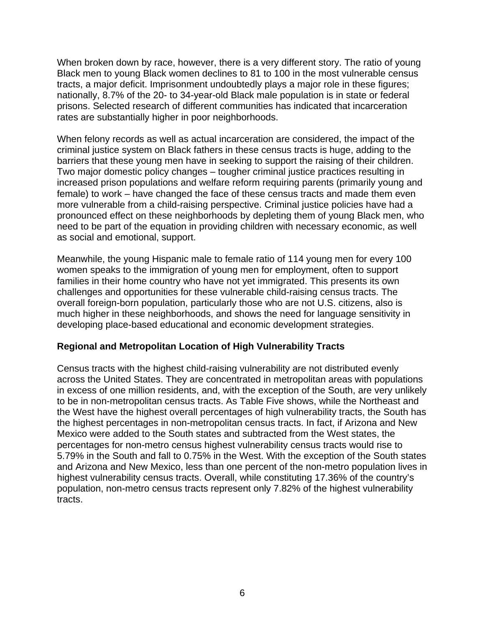When broken down by race, however, there is a very different story. The ratio of young Black men to young Black women declines to 81 to 100 in the most vulnerable census tracts, a major deficit. Imprisonment undoubtedly plays a major role in these figures; nationally, 8.7% of the 20- to 34-year-old Black male population is in state or federal prisons. Selected research of different communities has indicated that incarceration rates are substantially higher in poor neighborhoods.

When felony records as well as actual incarceration are considered, the impact of the criminal justice system on Black fathers in these census tracts is huge, adding to the barriers that these young men have in seeking to support the raising of their children. Two major domestic policy changes – tougher criminal justice practices resulting in increased prison populations and welfare reform requiring parents (primarily young and female) to work – have changed the face of these census tracts and made them even more vulnerable from a child-raising perspective. Criminal justice policies have had a pronounced effect on these neighborhoods by depleting them of young Black men, who need to be part of the equation in providing children with necessary economic, as well as social and emotional, support.

Meanwhile, the young Hispanic male to female ratio of 114 young men for every 100 women speaks to the immigration of young men for employment, often to support families in their home country who have not yet immigrated. This presents its own challenges and opportunities for these vulnerable child-raising census tracts. The overall foreign-born population, particularly those who are not U.S. citizens, also is much higher in these neighborhoods, and shows the need for language sensitivity in developing place-based educational and economic development strategies.

#### **Regional and Metropolitan Location of High Vulnerability Tracts**

Census tracts with the highest child-raising vulnerability are not distributed evenly across the United States. They are concentrated in metropolitan areas with populations in excess of one million residents, and, with the exception of the South, are very unlikely to be in non-metropolitan census tracts. As Table Five shows, while the Northeast and the West have the highest overall percentages of high vulnerability tracts, the South has the highest percentages in non-metropolitan census tracts. In fact, if Arizona and New Mexico were added to the South states and subtracted from the West states, the percentages for non-metro census highest vulnerability census tracts would rise to 5.79% in the South and fall to 0.75% in the West. With the exception of the South states and Arizona and New Mexico, less than one percent of the non-metro population lives in highest vulnerability census tracts. Overall, while constituting 17.36% of the country's population, non-metro census tracts represent only 7.82% of the highest vulnerability tracts.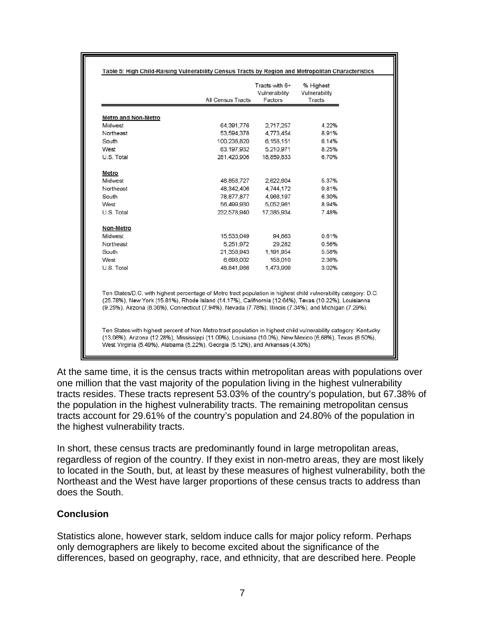|                                                                                                         | <b>All Census Tracts</b>                                                                                                                                                                                                                                                                                                          | Tracts with 6+<br>Vulnerability<br>Factors | % Highest<br>Vulnerability<br>Tracts |  |
|---------------------------------------------------------------------------------------------------------|-----------------------------------------------------------------------------------------------------------------------------------------------------------------------------------------------------------------------------------------------------------------------------------------------------------------------------------|--------------------------------------------|--------------------------------------|--|
| <b>Metro and Non-Metro</b>                                                                              |                                                                                                                                                                                                                                                                                                                                   |                                            |                                      |  |
| Midwest                                                                                                 | 64.391.776                                                                                                                                                                                                                                                                                                                        | 2,717,257                                  | 4.22%                                |  |
| Northeast                                                                                               | 53,594,378                                                                                                                                                                                                                                                                                                                        | 4,773,454                                  | 8.91%                                |  |
| South                                                                                                   | 100,236,820                                                                                                                                                                                                                                                                                                                       | 6,158,151                                  | 6.14%                                |  |
| West                                                                                                    | 63.197.932                                                                                                                                                                                                                                                                                                                        | 5,210,971                                  | 8.25%                                |  |
| U.S. Total                                                                                              | 281.420.906                                                                                                                                                                                                                                                                                                                       | 18,859,833                                 | 6.70%                                |  |
| Metro                                                                                                   |                                                                                                                                                                                                                                                                                                                                   |                                            |                                      |  |
| Midwest                                                                                                 | 48,858,727                                                                                                                                                                                                                                                                                                                        | 2,622,604                                  | 5.37%                                |  |
| Northeast                                                                                               | 48, 342, 406                                                                                                                                                                                                                                                                                                                      | 4,744,172                                  | 9.81%                                |  |
| South                                                                                                   | 78,877,877                                                                                                                                                                                                                                                                                                                        | 4,966,197                                  | 6.30%                                |  |
| West                                                                                                    | 56,499,930                                                                                                                                                                                                                                                                                                                        | 5,052,961                                  | 8.94%                                |  |
| U.S. Total                                                                                              | 232,578,940                                                                                                                                                                                                                                                                                                                       | 17,385,934                                 | 7.48%                                |  |
| Non-Metro                                                                                               |                                                                                                                                                                                                                                                                                                                                   |                                            |                                      |  |
| Midwest                                                                                                 | 15,533,049                                                                                                                                                                                                                                                                                                                        | 94,663                                     | 0.61%                                |  |
| Northeast                                                                                               | 5.251.972                                                                                                                                                                                                                                                                                                                         | 29.282                                     | 0.56%                                |  |
| South                                                                                                   | 21,358,943                                                                                                                                                                                                                                                                                                                        | 1,191,954                                  | 5.58%                                |  |
| West                                                                                                    | 6,698,002                                                                                                                                                                                                                                                                                                                         | 158,010                                    | 2.36%                                |  |
| U.S. Total                                                                                              | 48,841,966                                                                                                                                                                                                                                                                                                                        | 1,473,909                                  | 3.02%                                |  |
|                                                                                                         | Ten States/D.C. with highest percentage of Metro tract population in highest child vulnerability category: D.C.<br>(25.78%), New York (15.81%), Rhode Island (14.17%), Califnornia (12.64%), Texas (10.22%), Louisianna<br>(9.25%), Airzona (8.36%), Connecticut (7.94%), Nevada (7.78%), Illinois (7.34%), and Michigan (7.29%). |                                            |                                      |  |
| (13.06%), Arizona (12.28%), Mississippi (11.09%), Louisiana (10.0%), New Mexico (6,68%), Texas (6.50%), | Ten States with highest percent of Non-Metro tract population in highest child vulnerability category: Kentucky                                                                                                                                                                                                                   |                                            |                                      |  |

At the same time, it is the census tracts within metropolitan areas with populations over one million that the vast majority of the population living in the highest vulnerability tracts resides. These tracts represent 53.03% of the country's population, but 67.38% of the population in the highest vulnerability tracts. The remaining metropolitan census tracts account for 29.61% of the country's population and 24.80% of the population in the highest vulnerability tracts.

In short, these census tracts are predominantly found in large metropolitan areas, regardless of region of the country. If they exist in non-metro areas, they are most likely to located in the South, but, at least by these measures of highest vulnerability, both the Northeast and the West have larger proportions of these census tracts to address than does the South.

#### **Conclusion**

Statistics alone, however stark, seldom induce calls for major policy reform. Perhaps only demographers are likely to become excited about the significance of the differences, based on geography, race, and ethnicity, that are described here. People